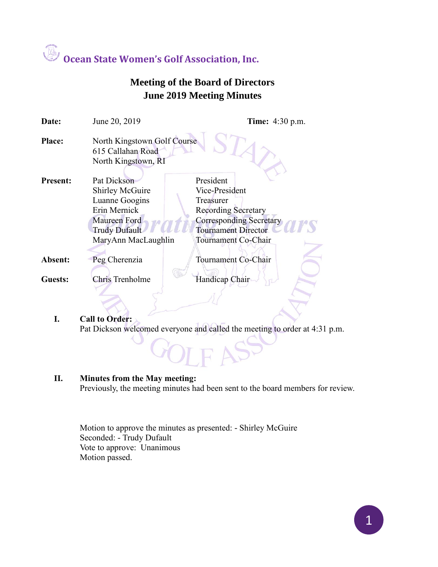

### **Meeting of the Board of Directors June 2019 Meeting Minutes**

| Date:           | June 20, 2019                                                           | <b>Time:</b> 4:30 p.m.         |
|-----------------|-------------------------------------------------------------------------|--------------------------------|
| <b>Place:</b>   | North Kingstown Golf Course<br>615 Callahan Road<br>North Kingstown, RI |                                |
| <b>Present:</b> | Pat Dickson                                                             | President                      |
|                 | <b>Shirley McGuire</b>                                                  | Vice-President                 |
|                 | Luanne Googins                                                          | Treasurer                      |
|                 | Erin Mernick                                                            | <b>Recording Secretary</b>     |
|                 | <b>Maureen Ford</b>                                                     | <b>Corresponding Secretary</b> |
|                 | <b>Trudy Dufault</b>                                                    | <b>Tournament Director</b>     |
|                 | MaryAnn MacLaughlin                                                     | Tournament Co-Chair            |
|                 |                                                                         |                                |
| Absent:         | Peg Cherenzia                                                           | Tournament Co-Chair            |
| Guests:         | <b>Chris Trenholme</b>                                                  | Handicap Chair                 |
|                 |                                                                         |                                |

#### **I. Call to Order:**

Pat Dickson welcomed everyone and called the meeting to order at 4:31 p.m.

 $DIFAS$ 

#### **II. Minutes from the May meeting:**

Previously, the meeting minutes had been sent to the board members for review.

Motion to approve the minutes as presented: - Shirley McGuire Seconded: - Trudy Dufault Vote to approve: Unanimous Motion passed.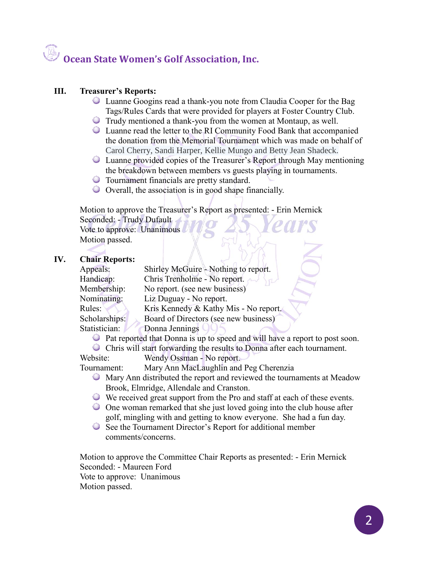## **Ocean State Women's Golf Association, Inc.**

#### **III. Treasurer's Reports:**

- Luanne Googins read a thank-you note from Claudia Cooper for the Bag Tags/Rules Cards that were provided for players at Foster Country Club.
- Trudy mentioned a thank-you from the women at Montaup, as well.
- Luanne read the letter to the RI Community Food Bank that accompanied the donation from the Memorial Tournament which was made on behalf of Carol Cherry, Sandi Harper, Kellie Mungo and Betty Jean Shadeck.
- Luanne provided copies of the Treasurer's Report through May mentioning the breakdown between members vs guests playing in tournaments.
- Tournament financials are pretty standard.
- Overall, the association is in good shape financially.

Motion to approve the Treasurer's Report as presented: - Erin Mernick Seconded: - Trudy Dufault Vote to approve: Unanimous

Motion passed.

#### **IV. Chair Reports:**

| Appeals:      | Shirley McGuire - Nothing to report.  |
|---------------|---------------------------------------|
| Handicap:     | Chris Trenholme - No report.          |
| Membership:   | No report. (see new business)         |
| Nominating:   | Liz Duguay - No report.               |
| Rules:        | Kris Kennedy & Kathy Mis - No report. |
| Scholarships: | Board of Directors (see new business) |
| Statistician: | Donna Jennings                        |
|               |                                       |

Pat reported that Donna is up to speed and will have a report to post soon.

Chris will start forwarding the results to Donna after each tournament.

Website: Wendy Ossman - No report.

Tournament: Mary Ann MacLaughlin and Peg Cherenzia

- Mary Ann distributed the report and reviewed the tournaments at Meadow Brook, Elmridge, Allendale and Cranston.
- We received great support from the Pro and staff at each of these events.
- One woman remarked that she just loved going into the club house after golf, mingling with and getting to know everyone. She had a fun day.
- See the Tournament Director's Report for additional member comments/concerns.

Motion to approve the Committee Chair Reports as presented: - Erin Mernick Seconded: - Maureen Ford Vote to approve: Unanimous Motion passed.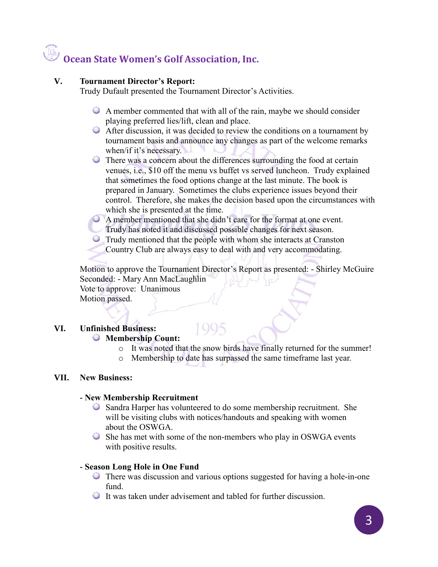## **Ocean State Women's Golf Association, Inc.**

#### **V. Tournament Director's Report:**

Trudy Dufault presented the Tournament Director's Activities.

- A member commented that with all of the rain, maybe we should consider playing preferred lies/lift, clean and place.
- After discussion, it was decided to review the conditions on a tournament by tournament basis and announce any changes as part of the welcome remarks when/if it's necessary.
- There was a concern about the differences surrounding the food at certain venues, i.e., \$10 off the menu vs buffet vs served luncheon. Trudy explained that sometimes the food options change at the last minute. The book is prepared in January. Sometimes the clubs experience issues beyond their control. Therefore, she makes the decision based upon the circumstances with which she is presented at the time.

A member mentioned that she didn't care for the format at one event.

- Trudy has noted it and discussed possible changes for next season.
- Trudy mentioned that the people with whom she interacts at Cranston Country Club are always easy to deal with and very accommodating.

Motion to approve the Tournament Director's Report as presented: - Shirley McGuire Seconded: - Mary Ann MacLaughlin Vote to approve: Unanimous Motion passed.

#### **VI. Unfinished Business: Membership Count:**

- o It was noted that the snow birds have finally returned for the summer!
- o Membership to date has surpassed the same timeframe last year.

#### **VII. New Business:**

#### **- New Membership Recruitment**

- Sandra Harper has volunteered to do some membership recruitment. She will be visiting clubs with notices/handouts and speaking with women about the OSWGA.
- She has met with some of the non-members who play in OSWGA events with positive results.

#### **- Season Long Hole in One Fund**

- There was discussion and various options suggested for having a hole-in-one fund.
- It was taken under advisement and tabled for further discussion.